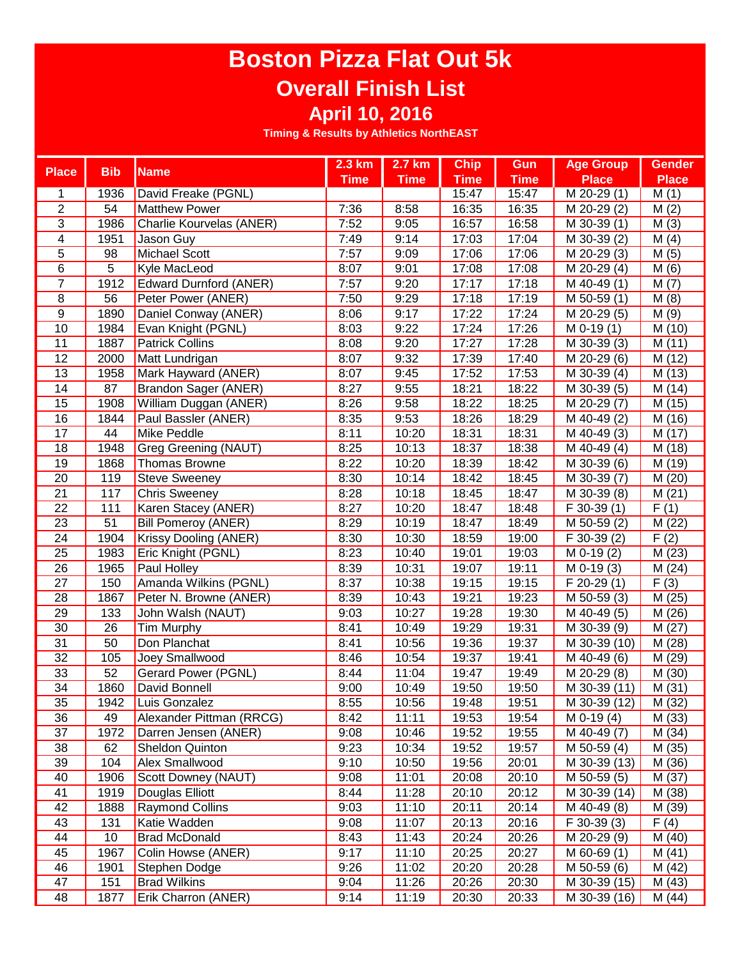## **Boston Pizza Flat Out 5k Overall Finish List April 10, 2016**

|                         |                 |                               | 2.3 km      | 2.7 km      | <b>Chip</b> | Gun         | <b>Age Group</b>           | <b>Gender</b>     |
|-------------------------|-----------------|-------------------------------|-------------|-------------|-------------|-------------|----------------------------|-------------------|
| <b>Place</b>            | <b>Bib</b>      | <b>Name</b>                   | <b>Time</b> | <b>Time</b> | <b>Time</b> | <b>Time</b> | <b>Place</b>               | <b>Place</b>      |
| 1                       | 1936            | David Freake (PGNL)           |             |             | 15:47       | 15:47       | M 20-29 (1)                | M(1)              |
| $\overline{2}$          | 54              | <b>Matthew Power</b>          | 7:36        | 8:58        | 16:35       | 16:35       | M 20-29 (2)                | M(2)              |
| 3                       | 1986            | Charlie Kourvelas (ANER)      | 7:52        | 9:05        | 16:57       | 16:58       | M 30-39 (1)                | M(3)              |
| $\overline{\mathbf{4}}$ | 1951            | Jason Guy                     | 7:49        | 9:14        | 17:03       | 17:04       | M 30-39 (2)                | M(4)              |
| 5                       | 98              | Michael Scott                 | 7:57        | 9:09        | 17:06       | 17:06       | M 20-29 (3)                | M(5)              |
| 6                       | 5               | Kyle MacLeod                  | 8:07        | 9:01        | 17:08       | 17:08       | M 20-29 (4)                | M(6)              |
| $\overline{7}$          | 1912            | <b>Edward Durnford (ANER)</b> | 7:57        | 9:20        | 17:17       | 17:18       | M 40-49 (1)                | M(7)              |
| 8                       | 56              | Peter Power (ANER)            | 7:50        | 9:29        | 17:18       | 17:19       | M 50-59 (1)                | M(8)              |
| $\overline{9}$          | 1890            | Daniel Conway (ANER)          | 8:06        | 9:17        | 17:22       | 17:24       | M 20-29 (5)                | M(9)              |
| 10                      | 1984            | Evan Knight (PGNL)            | 8:03        | 9:22        | 17:24       | 17:26       | $\overline{M}$ 0-19 $(1)$  | M (10)            |
| 11                      | 1887            | <b>Patrick Collins</b>        | 8:08        | 9:20        | 17:27       | 17:28       | M 30-39 (3)                | M(11)             |
| 12                      | 2000            | Matt Lundrigan                | 8:07        | 9:32        | 17:39       | 17:40       | M 20-29 (6)                | M (12)            |
| 13                      | 1958            | Mark Hayward (ANER)           | 8:07        | 9:45        | 17:52       | 17:53       | $\overline{M}$ 30-39 (4)   | M (13)            |
| 14                      | 87              | <b>Brandon Sager (ANER)</b>   | 8:27        | 9:55        | 18:21       | 18:22       | M 30-39 (5)                | M (14)            |
| 15                      | 1908            | William Duggan (ANER)         | 8:26        | 9:58        | 18:22       | 18:25       | M 20-29 (7)                | M (15)            |
| 16                      | 1844            | Paul Bassler (ANER)           | 8:35        | 9:53        | 18:26       | 18:29       | M 40-49 (2)                | M (16)            |
| $\overline{17}$         | 44              | Mike Peddle                   | 8:11        | 10:20       | 18:31       | 18:31       | M 40-49 (3)                | M (17)            |
| 18                      | 1948            | Greg Greening (NAUT)          | 8:25        | 10:13       | 18:37       | 18:38       | M 40-49 (4)                | M (18)            |
| 19                      | 1868            | Thomas Browne                 | 8:22        | 10:20       | 18:39       | 18:42       | $\overline{M}$ 30-39 (6)   | M (19)            |
| 20                      | 119             | <b>Steve Sweeney</b>          | 8:30        | 10:14       | 18:42       | 18:45       | M 30-39 (7)                | M (20)            |
| $\overline{21}$         | 117             | Chris Sweeney                 | 8:28        | 10:18       | 18:45       | 18:47       | $\overline{M}$ 30-39 (8)   | M(21)             |
| 22                      | 111             | Karen Stacey (ANER)           | 8:27        | 10:20       | 18:47       | 18:48       | $F$ 30-39 $(1)$            | F(1)              |
| $\overline{23}$         | $\overline{51}$ | <b>Bill Pomeroy (ANER)</b>    | 8:29        | 10:19       | 18:47       | 18:49       | $\overline{M}$ 50-59 $(2)$ | M (22)            |
| $\overline{24}$         | 1904            | <b>Krissy Dooling (ANER)</b>  | 8:30        | 10:30       | 18:59       | 19:00       | F 30-39 (2)                | $\overline{F(2)}$ |
| $\overline{25}$         | 1983            | Eric Knight (PGNL)            | 8:23        | 10:40       | 19:01       | 19:03       | $M$ 0-19 $(2)$             | M(23)             |
| $\overline{26}$         | 1965            | <b>Paul Holley</b>            | 8:39        | 10:31       | 19:07       | 19:11       | $M$ 0-19 $(3)$             | M(24)             |
| $\overline{27}$         | 150             | Amanda Wilkins (PGNL)         | 8:37        | 10:38       | 19:15       | 19:15       | $F$ 20-29 $(1)$            | $\overline{F(3)}$ |
| 28                      | 1867            | Peter N. Browne (ANER)        | 8:39        | 10:43       | 19:21       | 19:23       | M 50-59 (3)                | M(25)             |
| 29                      | 133             | John Walsh (NAUT)             | 9:03        | 10:27       | 19:28       | 19:30       | M 40-49 (5)                | M (26)            |
| $\overline{30}$         | 26              | Tim Murphy                    | 8:41        | 10:49       | 19:29       | 19:31       | M 30-39 (9)                | M(27)             |
| 31                      | 50              | Don Planchat                  | 8:41        | 10:56       | 19:36       | 19:37       | M 30-39 (10)               | M (28)            |
| 32                      | 105             | Joey Smallwood                | 8:46        | 10:54       | 19:37       | 19:41       | M 40-49 (6)                | M (29)            |
| $\overline{33}$         | 52              | Gerard Power (PGNL)           | 8:44        | 11:04       | 19:47       | 19:49       | M 20-29 (8)                | M (30)            |
| $\overline{34}$         | 1860            | David Bonnell                 | 9:00        | 10:49       | 19:50       | 19:50       | M 30-39 (11)               | M(31)             |
| 35                      | 1942            | Luis Gonzalez                 | 8:55        | 10:56       | 19:48       | 19:51       | M 30-39 (12)               | M(32)             |
| 36                      | 49              | Alexander Pittman (RRCG)      | 8:42        | 11:11       | 19:53       | 19:54       | $\overline{M}$ 0-19 (4)    | M (33)            |
| 37                      | 1972            | Darren Jensen (ANER)          | 9:08        | 10:46       | 19:52       | 19:55       | M 40-49 (7)                | M(34)             |
| 38                      | 62              | Sheldon Quinton               | 9:23        | 10:34       | 19:52       | 19:57       | M 50-59 (4)                | M (35)            |
| 39                      | 104             | Alex Smallwood                | 9:10        | 10:50       | 19:56       | 20:01       | M 30-39 (13)               | M (36)            |
| 40                      | 1906            | Scott Downey (NAUT)           | 9:08        | 11:01       | 20:08       | 20:10       | M 50-59 (5)                | M (37)            |
| 41                      | 1919            | Douglas Elliott               | 8:44        | 11:28       | 20:10       | 20:12       | M 30-39 (14)               | M (38)            |
| 42                      | 1888            | <b>Raymond Collins</b>        | 9:03        | 11:10       | 20:11       | 20:14       | M 40-49 (8)                | M (39)            |
| 43                      | 131             | Katie Wadden                  | 9:08        | 11:07       | 20:13       | 20:16       | $\overline{F}$ 30-39 (3)   | F(4)              |
| 44                      | 10              | <b>Brad McDonald</b>          | 8:43        | 11:43       | 20:24       | 20:26       | M 20-29 (9)                | M(40)             |
| 45                      | 1967            | Colin Howse (ANER)            | 9:17        | 11:10       | 20:25       | 20:27       | M 60-69 (1)                | M(41)             |
| 46                      | 1901            | Stephen Dodge                 | 9:26        | 11:02       | 20:20       | 20:28       | M 50-59 (6)                | M(42)             |
| 47                      | 151             | <b>Brad Wilkins</b>           | 9:04        | 11:26       | 20:26       | 20:30       | M 30-39 (15)               | M(43)             |
| 48                      | 1877            | Erik Charron (ANER)           | 9:14        | 11:19       | 20:30       | 20:33       | M 30-39 (16)               | M (44)            |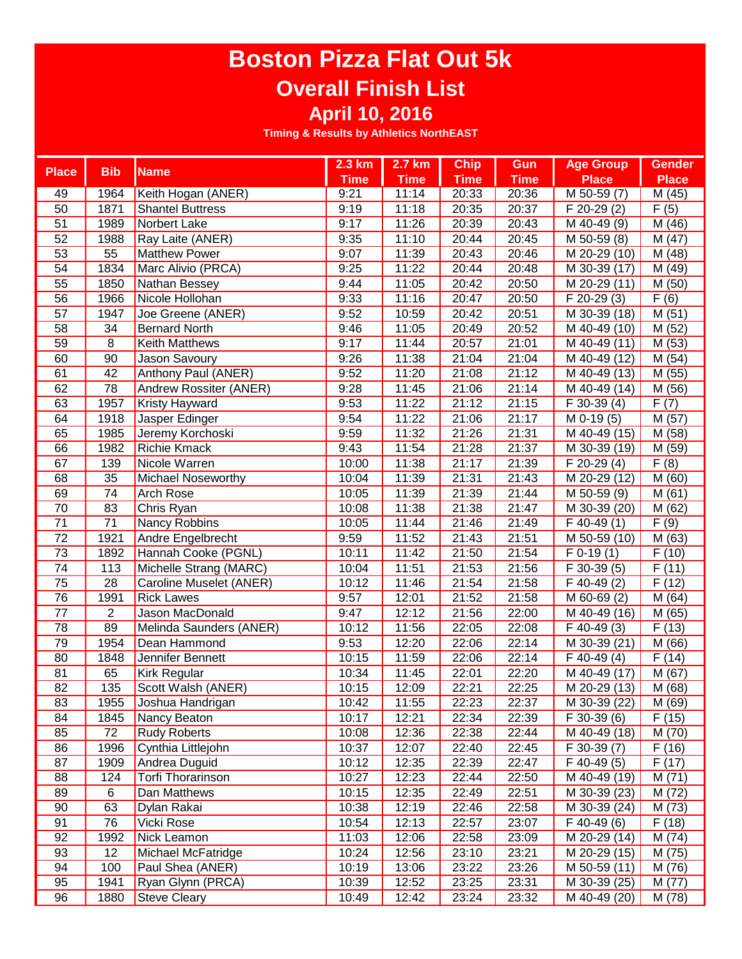## **Boston Pizza Flat Out 5k Overall Finish List April 10, 2016**

| <b>Place</b>    | <b>Bib</b>      | <b>Name</b>               | 2.3 km      | 2.7 km      | <b>Chip</b> | Gun         | <b>Age Group</b>         | <b>Gender</b> |
|-----------------|-----------------|---------------------------|-------------|-------------|-------------|-------------|--------------------------|---------------|
|                 |                 |                           | <b>Time</b> | <b>Time</b> | <b>Time</b> | <b>Time</b> | <b>Place</b>             | <b>Place</b>  |
| 49              | 1964            | Keith Hogan (ANER)        | 9:21        | 11:14       | 20:33       | 20:36       | $\overline{M}$ 50-59 (7) | M (45)        |
| 50              | 1871            | <b>Shantel Buttress</b>   | 9:19        | 11:18       | 20:35       | 20:37       | $\overline{F}$ 20-29 (2) | F(5)          |
| 51              | 1989            | Norbert Lake              | 9:17        | 11:26       | 20:39       | 20:43       | M 40-49 (9)              | M (46)        |
| 52              | 1988            | Ray Laite (ANER)          | 9:35        | 11:10       | 20:44       | 20:45       | M 50-59 (8)              | M(47)         |
| 53              | 55              | <b>Matthew Power</b>      | 9:07        | 11:39       | 20:43       | 20:46       | M 20-29 (10)             | M (48)        |
| 54              | 1834            | Marc Alivio (PRCA)        | 9:25        | 11:22       | 20:44       | 20:48       | M 30-39 (17)             | M (49)        |
| 55              | 1850            | Nathan Bessey             | 9:44        | 11:05       | 20:42       | 20:50       | M 20-29 (11)             | M (50)        |
| 56              | 1966            | Nicole Hollohan           | 9:33        | 11:16       | 20:47       | 20:50       | $F$ 20-29 $(3)$          | F(6)          |
| 57              | 1947            | Joe Greene (ANER)         | 9:52        | 10:59       | 20:42       | 20:51       | M 30-39 (18)             | M(51)         |
| 58              | 34              | <b>Bernard North</b>      | 9:46        | 11:05       | 20:49       | 20:52       | M 40-49 (10)             | M (52)        |
| 59              | 8               | Keith Matthews            | 9:17        | 11:44       | 20:57       | 21:01       | M 40-49 (11)             | M (53)        |
| 60              | 90              | Jason Savoury             | 9:26        | 11:38       | 21:04       | 21:04       | M 40-49 (12)             | M(54)         |
| 61              | 42              | Anthony Paul (ANER)       | 9:52        | 11:20       | 21:08       | 21:12       | M 40-49 (13)             | M (55)        |
| 62              | 78              | Andrew Rossiter (ANER)    | 9:28        | 11:45       | 21:06       | 21:14       | M 40-49 (14)             | M (56)        |
| 63              | 1957            | Kristy Hayward            | 9:53        | 11:22       | 21:12       | 21:15       | $\overline{F}$ 30-39 (4) | F(7)          |
| 64              | 1918            | Jasper Edinger            | 9:54        | 11:22       | 21:06       | 21:17       | $M$ 0-19 $(5)$           | M(57)         |
| 65              | 1985            | Jeremy Korchoski          | 9:59        | 11:32       | 21:26       | 21:31       | M 40-49 (15)             | M (58)        |
| 66              | 1982            | <b>Richie Kmack</b>       | 9:43        | 11:54       | 21:28       | 21:37       | M 30-39 (19)             | M (59)        |
| 67              | 139             | Nicole Warren             | 10:00       | 11:38       | 21:17       | 21:39       | F 20-29 (4)              | F(8)          |
| 68              | 35              | <b>Michael Noseworthy</b> | 10:04       | 11:39       | 21:31       | 21:43       | M 20-29 (12)             | M (60)        |
| 69              | 74              | Arch Rose                 | 10:05       | 11:39       | 21:39       | 21:44       | M 50-59 (9)              | M(61)         |
| 70              | 83              | Chris Ryan                | 10:08       | 11:38       | 21:38       | 21:47       | M 30-39 (20)             | M(62)         |
| $\overline{71}$ | $\overline{71}$ | Nancy Robbins             | 10:05       | 11:44       | 21:46       | 21:49       | $\overline{F}$ 40-49 (1) | F(9)          |
| $\overline{72}$ | 1921            | Andre Engelbrecht         | 9:59        | 11:52       | 21:43       | 21:51       | M 50-59 (10)             | M (63)        |
| 73              | 1892            | Hannah Cooke (PGNL)       | 10:11       | 11:42       | 21:50       | 21:54       | $\overline{F}$ 0-19 (1)  | F(10)         |
| $\overline{74}$ | 113             | Michelle Strang (MARC)    | 10:04       | 11:51       | 21:53       | 21:56       | F 30-39 (5)              | F(11)         |
| $\overline{75}$ | $\overline{28}$ | Caroline Muselet (ANER)   | 10:12       | 11:46       | 21:54       | 21:58       | F 40-49 (2)              | F(12)         |
| 76              | 1991            | <b>Rick Lawes</b>         | 9:57        | 12:01       | 21:52       | 21:58       | $\overline{M}$ 60-69 (2) | M(64)         |
| 77              | $\overline{2}$  | Jason MacDonald           | 9:47        | 12:12       | 21:56       | 22:00       | M 40-49 (16)             | M (65)        |
| 78              | 89              | Melinda Saunders (ANER)   | 10:12       | 11:56       | 22:05       | 22:08       | $F$ 40-49 $(3)$          | F(13)         |
| 79              | 1954            | Dean Hammond              | 9:53        | 12:20       | 22:06       | 22:14       | M 30-39 (21)             | M (66)        |
| 80              | 1848            | Jennifer Bennett          | 10:15       | 11:59       | 22:06       | 22:14       | $F$ 40-49 (4)            | F(14)         |
| 81              | 65              | <b>Kirk Regular</b>       | 10:34       | 11:45       | 22:01       | 22:20       | M 40-49 (17)             | M (67)        |
| 82              | 135             | Scott Walsh (ANER)        | 10:15       | 12:09       | 22:21       | 22:25       | M 20-29 (13)             | M (68)        |
| $\overline{83}$ | 1955            | Joshua Handrigan          | 10:42       | 11:55       | 22:23       | 22:37       | M 30-39 (22)             | M(69)         |
| 84              | 1845            | Nancy Beaton              | 10:17       | 12:21       | 22:34       | 22:39       | F 30-39 (6)              | F(15)         |
| 85              | 72              | <b>Rudy Roberts</b>       | 10:08       | 12:36       | 22:38       | 22:44       | M 40-49 (18)             | M (70)        |
| 86              | 1996            | Cynthia Littlejohn        | 10:37       | 12:07       | 22:40       | 22:45       | F 30-39 (7)              | F(16)         |
| 87              | 1909            | Andrea Duguid             | 10:12       | 12:35       | 22:39       | 22:47       | F 40-49 (5)              | F(17)         |
| 88              | 124             | <b>Torfi Thorarinson</b>  | 10:27       | 12:23       | 22:44       | 22:50       | M 40-49 (19)             | M(71)         |
| 89              | 6               | Dan Matthews              | 10:15       | 12:35       | 22:49       | 22:51       | M 30-39 (23)             | M (72)        |
| 90              | 63              | Dylan Rakai               | 10:38       | 12:19       | 22:46       | 22:58       | M 30-39 (24)             | M (73)        |
| 91              | 76              | Vicki Rose                | 10:54       | 12:13       | 22:57       | 23:07       | F 40-49 (6)              | F(18)         |
| 92              | 1992            | Nick Leamon               | 11:03       | 12:06       | 22:58       | 23:09       | M 20-29 (14)             | M (74)        |
| 93              | 12              | Michael McFatridge        | 10:24       | 12:56       | 23:10       | 23:21       | M 20-29 (15)             | M (75)        |
| 94              | 100             | Paul Shea (ANER)          | 10:19       | 13:06       | 23:22       | 23:26       |                          | M (76)        |
| 95              |                 |                           |             |             |             |             | M 50-59 (11)             |               |
|                 | 1941            | Ryan Glynn (PRCA)         | 10:39       | 12:52       | 23:25       | 23:31       | M 30-39 (25)             | M (77)        |
| 96              | 1880            | <b>Steve Cleary</b>       | 10:49       | 12:42       | 23:24       | 23:32       | M 40-49 (20)             | M (78)        |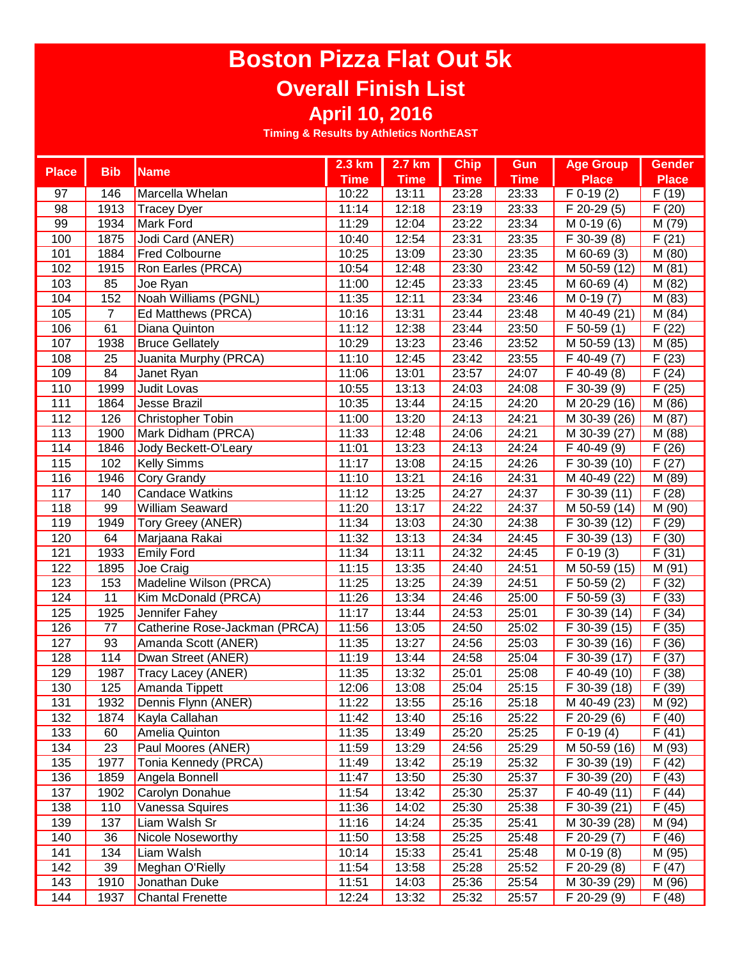## **Boston Pizza Flat Out 5k Overall Finish List April 10, 2016**

| <b>Bib</b><br><b>Place</b><br><b>Name</b><br><b>Time</b><br><b>Time</b><br><b>Time</b><br><b>Time</b><br><b>Place</b><br><b>Place</b><br>23:28<br>$F$ 0-19 $(2)$<br>F(19)<br>97<br>146<br>10:22<br>13:11<br>23:33<br>Marcella Whelan<br>(20)<br>98<br>1913<br>12:18<br>23:19<br>11:14<br>23:33<br>F 20-29 (5)<br>F<br><b>Tracey Dyer</b><br>99<br>11:29<br>12:04<br>23:22<br>M (79)<br>1934<br>Mark Ford<br>23:34<br>$M$ 0-19 $(6)$<br>100<br>1875<br>Jodi Card (ANER)<br>10:40<br>12:54<br>23:31<br>23:35<br>F 30-39 (8)<br>F(21)<br>101<br>1884<br><b>Fred Colbourne</b><br>10:25<br>13:09<br>23:30<br>23:35<br>M 60-69 (3)<br>M (80)<br>102<br>1915<br>Ron Earles (PRCA)<br>10:54<br>12:48<br>23:30<br>23:42<br>M 50-59 (12)<br>M(81)<br>103<br>85<br>12:45<br>23:33<br>23:45<br>M 60-69 (4)<br>M (82)<br>Joe Ryan<br>11:00<br>152<br>Noah Williams (PGNL)<br>104<br>11:35<br>12:11<br>23:34<br>23:46<br>$\overline{M}$ 0-19 (7)<br>M (83)<br>M (84)<br>105<br>$\overline{7}$<br>Ed Matthews (PRCA)<br>10:16<br>13:31<br>23:44<br>23:48<br>M 40-49 (21)<br>61<br>12:38<br>(22)<br>106<br>11:12<br>23:44<br>23:50<br>$F$ 50-59 $(1)$<br>F<br>Diana Quinton<br>107<br>10:29<br>13:23<br>23:46<br>23:52<br>M 50-59 (13)<br>M (85)<br>1938<br><b>Bruce Gellately</b><br>$\overline{F(23)}$<br>25<br>Juanita Murphy (PRCA)<br>11:10<br>12:45<br>23:42<br>23:55<br>F 40-49 (7)<br>108<br>F(24)<br>109<br>84<br>11:06<br>13:01<br>23:57<br>24:07<br>F 40-49 (8)<br>Janet Ryan<br>F(25)<br>110<br>1999<br>Judit Lovas<br>13:13<br>24:03<br>24:08<br>$\overline{F}$ 30-39 (9)<br>10:55<br>M (86)<br>111<br>1864<br>Jesse Brazil<br>13:44<br>24:15<br>24:20<br>10:35<br>M 20-29 (16)<br>M (87)<br>112<br>126<br>13:20<br>24:13<br>24:21<br>Christopher Tobin<br>11:00<br>M 30-39 (26)<br>113<br>1900<br>Mark Didham (PRCA)<br>24:06<br>24:21<br>M (88)<br>11:33<br>12:48<br>M 30-39 (27)<br>(26)<br>13:23<br>24:13<br>24:24<br>114<br>1846<br>Jody Beckett-O'Leary<br>11:01<br>F 40-49 (9)<br>F<br>(27)<br>115<br>102<br>11:17<br>13:08<br>24:15<br>24:26<br><b>Kelly Simms</b><br>F 30-39 (10)<br>F |  | 2.3 km | 2.7 km | <b>Chip</b> | <b>Gun</b> | <b>Age Group</b> | <b>Gender</b> |
|-----------------------------------------------------------------------------------------------------------------------------------------------------------------------------------------------------------------------------------------------------------------------------------------------------------------------------------------------------------------------------------------------------------------------------------------------------------------------------------------------------------------------------------------------------------------------------------------------------------------------------------------------------------------------------------------------------------------------------------------------------------------------------------------------------------------------------------------------------------------------------------------------------------------------------------------------------------------------------------------------------------------------------------------------------------------------------------------------------------------------------------------------------------------------------------------------------------------------------------------------------------------------------------------------------------------------------------------------------------------------------------------------------------------------------------------------------------------------------------------------------------------------------------------------------------------------------------------------------------------------------------------------------------------------------------------------------------------------------------------------------------------------------------------------------------------------------------------------------------------------------------------------------------------------------------------------------------------------------------------------------------------------------------------------------------------------------------------------|--|--------|--------|-------------|------------|------------------|---------------|
|                                                                                                                                                                                                                                                                                                                                                                                                                                                                                                                                                                                                                                                                                                                                                                                                                                                                                                                                                                                                                                                                                                                                                                                                                                                                                                                                                                                                                                                                                                                                                                                                                                                                                                                                                                                                                                                                                                                                                                                                                                                                                               |  |        |        |             |            |                  |               |
|                                                                                                                                                                                                                                                                                                                                                                                                                                                                                                                                                                                                                                                                                                                                                                                                                                                                                                                                                                                                                                                                                                                                                                                                                                                                                                                                                                                                                                                                                                                                                                                                                                                                                                                                                                                                                                                                                                                                                                                                                                                                                               |  |        |        |             |            |                  |               |
|                                                                                                                                                                                                                                                                                                                                                                                                                                                                                                                                                                                                                                                                                                                                                                                                                                                                                                                                                                                                                                                                                                                                                                                                                                                                                                                                                                                                                                                                                                                                                                                                                                                                                                                                                                                                                                                                                                                                                                                                                                                                                               |  |        |        |             |            |                  |               |
|                                                                                                                                                                                                                                                                                                                                                                                                                                                                                                                                                                                                                                                                                                                                                                                                                                                                                                                                                                                                                                                                                                                                                                                                                                                                                                                                                                                                                                                                                                                                                                                                                                                                                                                                                                                                                                                                                                                                                                                                                                                                                               |  |        |        |             |            |                  |               |
|                                                                                                                                                                                                                                                                                                                                                                                                                                                                                                                                                                                                                                                                                                                                                                                                                                                                                                                                                                                                                                                                                                                                                                                                                                                                                                                                                                                                                                                                                                                                                                                                                                                                                                                                                                                                                                                                                                                                                                                                                                                                                               |  |        |        |             |            |                  |               |
|                                                                                                                                                                                                                                                                                                                                                                                                                                                                                                                                                                                                                                                                                                                                                                                                                                                                                                                                                                                                                                                                                                                                                                                                                                                                                                                                                                                                                                                                                                                                                                                                                                                                                                                                                                                                                                                                                                                                                                                                                                                                                               |  |        |        |             |            |                  |               |
|                                                                                                                                                                                                                                                                                                                                                                                                                                                                                                                                                                                                                                                                                                                                                                                                                                                                                                                                                                                                                                                                                                                                                                                                                                                                                                                                                                                                                                                                                                                                                                                                                                                                                                                                                                                                                                                                                                                                                                                                                                                                                               |  |        |        |             |            |                  |               |
|                                                                                                                                                                                                                                                                                                                                                                                                                                                                                                                                                                                                                                                                                                                                                                                                                                                                                                                                                                                                                                                                                                                                                                                                                                                                                                                                                                                                                                                                                                                                                                                                                                                                                                                                                                                                                                                                                                                                                                                                                                                                                               |  |        |        |             |            |                  |               |
|                                                                                                                                                                                                                                                                                                                                                                                                                                                                                                                                                                                                                                                                                                                                                                                                                                                                                                                                                                                                                                                                                                                                                                                                                                                                                                                                                                                                                                                                                                                                                                                                                                                                                                                                                                                                                                                                                                                                                                                                                                                                                               |  |        |        |             |            |                  |               |
|                                                                                                                                                                                                                                                                                                                                                                                                                                                                                                                                                                                                                                                                                                                                                                                                                                                                                                                                                                                                                                                                                                                                                                                                                                                                                                                                                                                                                                                                                                                                                                                                                                                                                                                                                                                                                                                                                                                                                                                                                                                                                               |  |        |        |             |            |                  |               |
|                                                                                                                                                                                                                                                                                                                                                                                                                                                                                                                                                                                                                                                                                                                                                                                                                                                                                                                                                                                                                                                                                                                                                                                                                                                                                                                                                                                                                                                                                                                                                                                                                                                                                                                                                                                                                                                                                                                                                                                                                                                                                               |  |        |        |             |            |                  |               |
|                                                                                                                                                                                                                                                                                                                                                                                                                                                                                                                                                                                                                                                                                                                                                                                                                                                                                                                                                                                                                                                                                                                                                                                                                                                                                                                                                                                                                                                                                                                                                                                                                                                                                                                                                                                                                                                                                                                                                                                                                                                                                               |  |        |        |             |            |                  |               |
|                                                                                                                                                                                                                                                                                                                                                                                                                                                                                                                                                                                                                                                                                                                                                                                                                                                                                                                                                                                                                                                                                                                                                                                                                                                                                                                                                                                                                                                                                                                                                                                                                                                                                                                                                                                                                                                                                                                                                                                                                                                                                               |  |        |        |             |            |                  |               |
|                                                                                                                                                                                                                                                                                                                                                                                                                                                                                                                                                                                                                                                                                                                                                                                                                                                                                                                                                                                                                                                                                                                                                                                                                                                                                                                                                                                                                                                                                                                                                                                                                                                                                                                                                                                                                                                                                                                                                                                                                                                                                               |  |        |        |             |            |                  |               |
|                                                                                                                                                                                                                                                                                                                                                                                                                                                                                                                                                                                                                                                                                                                                                                                                                                                                                                                                                                                                                                                                                                                                                                                                                                                                                                                                                                                                                                                                                                                                                                                                                                                                                                                                                                                                                                                                                                                                                                                                                                                                                               |  |        |        |             |            |                  |               |
|                                                                                                                                                                                                                                                                                                                                                                                                                                                                                                                                                                                                                                                                                                                                                                                                                                                                                                                                                                                                                                                                                                                                                                                                                                                                                                                                                                                                                                                                                                                                                                                                                                                                                                                                                                                                                                                                                                                                                                                                                                                                                               |  |        |        |             |            |                  |               |
|                                                                                                                                                                                                                                                                                                                                                                                                                                                                                                                                                                                                                                                                                                                                                                                                                                                                                                                                                                                                                                                                                                                                                                                                                                                                                                                                                                                                                                                                                                                                                                                                                                                                                                                                                                                                                                                                                                                                                                                                                                                                                               |  |        |        |             |            |                  |               |
|                                                                                                                                                                                                                                                                                                                                                                                                                                                                                                                                                                                                                                                                                                                                                                                                                                                                                                                                                                                                                                                                                                                                                                                                                                                                                                                                                                                                                                                                                                                                                                                                                                                                                                                                                                                                                                                                                                                                                                                                                                                                                               |  |        |        |             |            |                  |               |
|                                                                                                                                                                                                                                                                                                                                                                                                                                                                                                                                                                                                                                                                                                                                                                                                                                                                                                                                                                                                                                                                                                                                                                                                                                                                                                                                                                                                                                                                                                                                                                                                                                                                                                                                                                                                                                                                                                                                                                                                                                                                                               |  |        |        |             |            |                  |               |
|                                                                                                                                                                                                                                                                                                                                                                                                                                                                                                                                                                                                                                                                                                                                                                                                                                                                                                                                                                                                                                                                                                                                                                                                                                                                                                                                                                                                                                                                                                                                                                                                                                                                                                                                                                                                                                                                                                                                                                                                                                                                                               |  |        |        |             |            |                  |               |
| 116<br>1946<br>11:10<br>13:21<br>24:16<br>24:31<br>M 40-49 (22)<br>Cory Grandy<br>M (89)                                                                                                                                                                                                                                                                                                                                                                                                                                                                                                                                                                                                                                                                                                                                                                                                                                                                                                                                                                                                                                                                                                                                                                                                                                                                                                                                                                                                                                                                                                                                                                                                                                                                                                                                                                                                                                                                                                                                                                                                      |  |        |        |             |            |                  |               |
| <b>Candace Watkins</b><br>117<br>140<br>11:12<br>13:25<br>24:27<br>24:37<br>$\overline{F}$ 30-39 (11)<br>F(28)                                                                                                                                                                                                                                                                                                                                                                                                                                                                                                                                                                                                                                                                                                                                                                                                                                                                                                                                                                                                                                                                                                                                                                                                                                                                                                                                                                                                                                                                                                                                                                                                                                                                                                                                                                                                                                                                                                                                                                                |  |        |        |             |            |                  |               |
| 118<br>99<br>11:20<br>13:17<br>24:22<br><b>William Seaward</b><br>24:37<br>M 50-59 (14)<br>M (90)                                                                                                                                                                                                                                                                                                                                                                                                                                                                                                                                                                                                                                                                                                                                                                                                                                                                                                                                                                                                                                                                                                                                                                                                                                                                                                                                                                                                                                                                                                                                                                                                                                                                                                                                                                                                                                                                                                                                                                                             |  |        |        |             |            |                  |               |
| 11:34<br>119<br>1949<br>Tory Greey (ANER)<br>13:03<br>24:30<br>24:38<br>F 30-39 (12)<br>F(29)                                                                                                                                                                                                                                                                                                                                                                                                                                                                                                                                                                                                                                                                                                                                                                                                                                                                                                                                                                                                                                                                                                                                                                                                                                                                                                                                                                                                                                                                                                                                                                                                                                                                                                                                                                                                                                                                                                                                                                                                 |  |        |        |             |            |                  |               |
| 64<br>11:32<br>24:34<br>120<br>13:13<br>24:45<br>F 30-39 (13)<br>F(30)<br>Marjaana Rakai                                                                                                                                                                                                                                                                                                                                                                                                                                                                                                                                                                                                                                                                                                                                                                                                                                                                                                                                                                                                                                                                                                                                                                                                                                                                                                                                                                                                                                                                                                                                                                                                                                                                                                                                                                                                                                                                                                                                                                                                      |  |        |        |             |            |                  |               |
| 1933<br>121<br>11:34<br>13:11<br>24:32<br>24:45<br>$F$ 0-19 $(3)$<br>F(31)<br><b>Emily Ford</b>                                                                                                                                                                                                                                                                                                                                                                                                                                                                                                                                                                                                                                                                                                                                                                                                                                                                                                                                                                                                                                                                                                                                                                                                                                                                                                                                                                                                                                                                                                                                                                                                                                                                                                                                                                                                                                                                                                                                                                                               |  |        |        |             |            |                  |               |
| 122<br>1895<br>11:15<br>13:35<br>24:51<br>$\overline{M}$ 50-59 (15)<br>M (91)<br>Joe Craig<br>24:40                                                                                                                                                                                                                                                                                                                                                                                                                                                                                                                                                                                                                                                                                                                                                                                                                                                                                                                                                                                                                                                                                                                                                                                                                                                                                                                                                                                                                                                                                                                                                                                                                                                                                                                                                                                                                                                                                                                                                                                           |  |        |        |             |            |                  |               |
| 123<br>153<br>Madeline Wilson (PRCA)<br>11:25<br>13:25<br>F<br>(32)<br>24:39<br>24:51<br>F 50-59 (2)                                                                                                                                                                                                                                                                                                                                                                                                                                                                                                                                                                                                                                                                                                                                                                                                                                                                                                                                                                                                                                                                                                                                                                                                                                                                                                                                                                                                                                                                                                                                                                                                                                                                                                                                                                                                                                                                                                                                                                                          |  |        |        |             |            |                  |               |
| 11<br>$\overline{F(33)}$<br>124<br>Kim McDonald (PRCA)<br>11:26<br>13:34<br>24:46<br>25:00<br>$\overline{F}$ 50-59 (3)                                                                                                                                                                                                                                                                                                                                                                                                                                                                                                                                                                                                                                                                                                                                                                                                                                                                                                                                                                                                                                                                                                                                                                                                                                                                                                                                                                                                                                                                                                                                                                                                                                                                                                                                                                                                                                                                                                                                                                        |  |        |        |             |            |                  |               |
| 11:17<br>$\overline{F(34)}$<br>125<br>1925<br>Jennifer Fahey<br>13:44<br>24:53<br>25:01<br>F 30-39 (14)                                                                                                                                                                                                                                                                                                                                                                                                                                                                                                                                                                                                                                                                                                                                                                                                                                                                                                                                                                                                                                                                                                                                                                                                                                                                                                                                                                                                                                                                                                                                                                                                                                                                                                                                                                                                                                                                                                                                                                                       |  |        |        |             |            |                  |               |
| 11:56<br>F(35)<br>126<br>Catherine Rose-Jackman (PRCA)<br>13:05<br>24:50<br>25:02<br>F 30-39 (15)<br>77                                                                                                                                                                                                                                                                                                                                                                                                                                                                                                                                                                                                                                                                                                                                                                                                                                                                                                                                                                                                                                                                                                                                                                                                                                                                                                                                                                                                                                                                                                                                                                                                                                                                                                                                                                                                                                                                                                                                                                                       |  |        |        |             |            |                  |               |
| 11:35<br>F(36)<br>127<br>93<br>Amanda Scott (ANER)<br>13:27<br>24:56<br>25:03<br>F 30-39 (16)                                                                                                                                                                                                                                                                                                                                                                                                                                                                                                                                                                                                                                                                                                                                                                                                                                                                                                                                                                                                                                                                                                                                                                                                                                                                                                                                                                                                                                                                                                                                                                                                                                                                                                                                                                                                                                                                                                                                                                                                 |  |        |        |             |            |                  |               |
| 128<br>114<br>F(37)<br>Dwan Street (ANER)<br>11:19<br>13:44<br>24:58<br>25:04<br>F 30-39 (17)                                                                                                                                                                                                                                                                                                                                                                                                                                                                                                                                                                                                                                                                                                                                                                                                                                                                                                                                                                                                                                                                                                                                                                                                                                                                                                                                                                                                                                                                                                                                                                                                                                                                                                                                                                                                                                                                                                                                                                                                 |  |        |        |             |            |                  |               |
| 129<br>1987<br>Tracy Lacey (ANER)<br>11:35<br>13:32<br>25:01<br>25:08<br>F 40-49 (10)<br>F(38)                                                                                                                                                                                                                                                                                                                                                                                                                                                                                                                                                                                                                                                                                                                                                                                                                                                                                                                                                                                                                                                                                                                                                                                                                                                                                                                                                                                                                                                                                                                                                                                                                                                                                                                                                                                                                                                                                                                                                                                                |  |        |        |             |            |                  |               |
| F(39)<br>130<br>125<br>Amanda Tippett<br>12:06<br>13:08<br>25:04<br>F 30-39 (18)<br>25:15                                                                                                                                                                                                                                                                                                                                                                                                                                                                                                                                                                                                                                                                                                                                                                                                                                                                                                                                                                                                                                                                                                                                                                                                                                                                                                                                                                                                                                                                                                                                                                                                                                                                                                                                                                                                                                                                                                                                                                                                     |  |        |        |             |            |                  |               |
| Dennis Flynn (ANER)<br>M (92)<br>M 40-49 (23)<br>131<br>1932<br>11:22<br>13:55<br>25:16<br>25:18                                                                                                                                                                                                                                                                                                                                                                                                                                                                                                                                                                                                                                                                                                                                                                                                                                                                                                                                                                                                                                                                                                                                                                                                                                                                                                                                                                                                                                                                                                                                                                                                                                                                                                                                                                                                                                                                                                                                                                                              |  |        |        |             |            |                  |               |
| 132<br>1874<br>Kayla Callahan<br>11:42<br>13:40<br>25:16<br>25:22<br>F 20-29 (6)<br>F(40)                                                                                                                                                                                                                                                                                                                                                                                                                                                                                                                                                                                                                                                                                                                                                                                                                                                                                                                                                                                                                                                                                                                                                                                                                                                                                                                                                                                                                                                                                                                                                                                                                                                                                                                                                                                                                                                                                                                                                                                                     |  |        |        |             |            |                  |               |
| 133<br>11:35<br>F(41)<br>60<br>Amelia Quinton<br>13:49<br>25:20<br>25:25<br>$F$ 0-19 $(4)$                                                                                                                                                                                                                                                                                                                                                                                                                                                                                                                                                                                                                                                                                                                                                                                                                                                                                                                                                                                                                                                                                                                                                                                                                                                                                                                                                                                                                                                                                                                                                                                                                                                                                                                                                                                                                                                                                                                                                                                                    |  |        |        |             |            |                  |               |
| 23<br>134<br>Paul Moores (ANER)<br>11:59<br>13:29<br>25:29<br>M (93)<br>24:56<br>M 50-59 (16)                                                                                                                                                                                                                                                                                                                                                                                                                                                                                                                                                                                                                                                                                                                                                                                                                                                                                                                                                                                                                                                                                                                                                                                                                                                                                                                                                                                                                                                                                                                                                                                                                                                                                                                                                                                                                                                                                                                                                                                                 |  |        |        |             |            |                  |               |
| 135<br>1977<br>13:42<br>25:19<br>25:32<br>F(42)<br>Tonia Kennedy (PRCA)<br>11:49<br>F 30-39 (19)                                                                                                                                                                                                                                                                                                                                                                                                                                                                                                                                                                                                                                                                                                                                                                                                                                                                                                                                                                                                                                                                                                                                                                                                                                                                                                                                                                                                                                                                                                                                                                                                                                                                                                                                                                                                                                                                                                                                                                                              |  |        |        |             |            |                  |               |
| 1859<br>Angela Bonnell<br>136<br>11:47<br>13:50<br>25:30<br>25:37<br>F 30-39 (20)<br>F(43)                                                                                                                                                                                                                                                                                                                                                                                                                                                                                                                                                                                                                                                                                                                                                                                                                                                                                                                                                                                                                                                                                                                                                                                                                                                                                                                                                                                                                                                                                                                                                                                                                                                                                                                                                                                                                                                                                                                                                                                                    |  |        |        |             |            |                  |               |
| 137<br>1902<br>Carolyn Donahue<br>13:42<br>25:30<br>25:37<br>11:54<br>F 40-49 (11)<br>F(44)                                                                                                                                                                                                                                                                                                                                                                                                                                                                                                                                                                                                                                                                                                                                                                                                                                                                                                                                                                                                                                                                                                                                                                                                                                                                                                                                                                                                                                                                                                                                                                                                                                                                                                                                                                                                                                                                                                                                                                                                   |  |        |        |             |            |                  |               |
| 138<br>110<br>25:30<br>25:38<br>Vanessa Squires<br>11:36<br>14:02<br>F 30-39 (21)<br>F(45)                                                                                                                                                                                                                                                                                                                                                                                                                                                                                                                                                                                                                                                                                                                                                                                                                                                                                                                                                                                                                                                                                                                                                                                                                                                                                                                                                                                                                                                                                                                                                                                                                                                                                                                                                                                                                                                                                                                                                                                                    |  |        |        |             |            |                  |               |
| 137<br>139<br>Liam Walsh Sr<br>11:16<br>14:24<br>25:35<br>25:41<br>M 30-39 (28)<br>M (94)                                                                                                                                                                                                                                                                                                                                                                                                                                                                                                                                                                                                                                                                                                                                                                                                                                                                                                                                                                                                                                                                                                                                                                                                                                                                                                                                                                                                                                                                                                                                                                                                                                                                                                                                                                                                                                                                                                                                                                                                     |  |        |        |             |            |                  |               |
| 140<br>36<br>11:50<br>13:58<br>25:25<br>25:48<br>F(46)<br><b>Nicole Noseworthy</b><br>F 20-29 (7)                                                                                                                                                                                                                                                                                                                                                                                                                                                                                                                                                                                                                                                                                                                                                                                                                                                                                                                                                                                                                                                                                                                                                                                                                                                                                                                                                                                                                                                                                                                                                                                                                                                                                                                                                                                                                                                                                                                                                                                             |  |        |        |             |            |                  |               |
| 141<br>134<br>Liam Walsh<br>10:14<br>15:33<br>25:41<br>25:48<br>M 0-19 (8)<br>M (95)                                                                                                                                                                                                                                                                                                                                                                                                                                                                                                                                                                                                                                                                                                                                                                                                                                                                                                                                                                                                                                                                                                                                                                                                                                                                                                                                                                                                                                                                                                                                                                                                                                                                                                                                                                                                                                                                                                                                                                                                          |  |        |        |             |            |                  |               |
| 142<br>39<br>11:54<br>13:58<br>25:28<br>25:52<br>F 20-29 (8)<br>F(47)<br>Meghan O'Rielly                                                                                                                                                                                                                                                                                                                                                                                                                                                                                                                                                                                                                                                                                                                                                                                                                                                                                                                                                                                                                                                                                                                                                                                                                                                                                                                                                                                                                                                                                                                                                                                                                                                                                                                                                                                                                                                                                                                                                                                                      |  |        |        |             |            |                  |               |
| 143<br>1910<br>Jonathan Duke<br>11:51<br>14:03<br>25:36<br>25:54<br>M 30-39 (29)<br>M (96)                                                                                                                                                                                                                                                                                                                                                                                                                                                                                                                                                                                                                                                                                                                                                                                                                                                                                                                                                                                                                                                                                                                                                                                                                                                                                                                                                                                                                                                                                                                                                                                                                                                                                                                                                                                                                                                                                                                                                                                                    |  |        |        |             |            |                  |               |
| 144<br><b>Chantal Frenette</b><br>12:24<br>13:32<br>25:32<br>F(48)<br>1937<br>25:57<br>F 20-29 (9)                                                                                                                                                                                                                                                                                                                                                                                                                                                                                                                                                                                                                                                                                                                                                                                                                                                                                                                                                                                                                                                                                                                                                                                                                                                                                                                                                                                                                                                                                                                                                                                                                                                                                                                                                                                                                                                                                                                                                                                            |  |        |        |             |            |                  |               |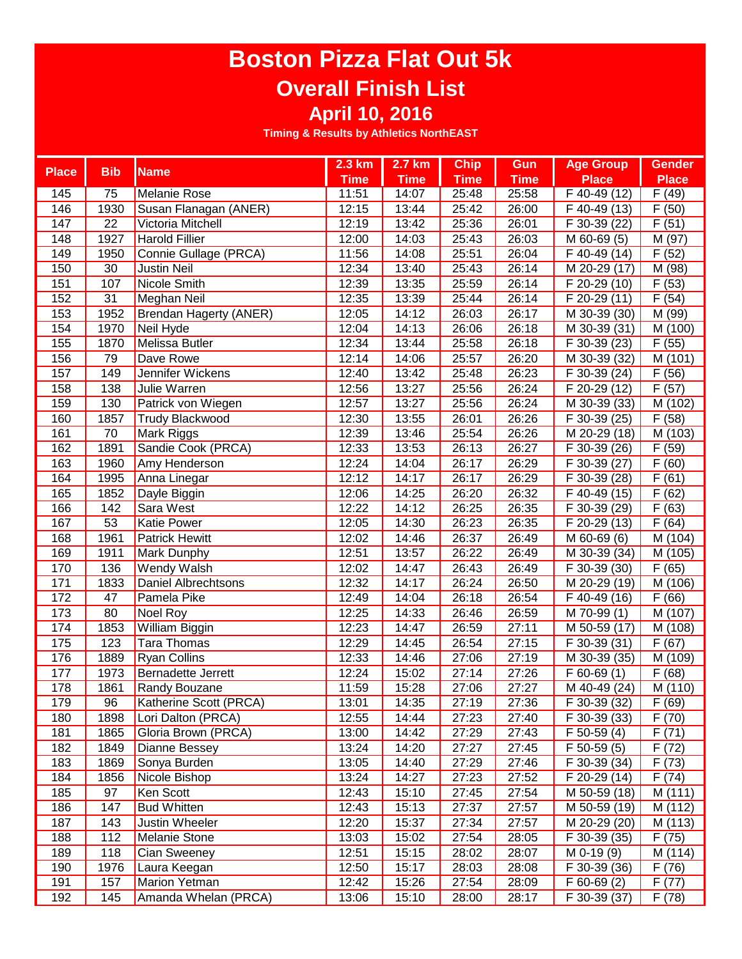# **Boston Pizza Flat Out 5k Overall Finish List**

**April 10, 2016**

| <b>Place</b> | <b>Bib</b>      | <b>Name</b>                   | $2.3$ km    | 2.7 km      | <b>Chip</b> | Gun         | <b>Age Group</b>          | <b>Gender</b>      |
|--------------|-----------------|-------------------------------|-------------|-------------|-------------|-------------|---------------------------|--------------------|
|              |                 |                               | <b>Time</b> | <b>Time</b> | <b>Time</b> | <b>Time</b> | <b>Place</b>              | <b>Place</b>       |
| 145          | 75              | Melanie Rose                  | 11:51       | 14:07       | 25:48       | 25:58       | F 40-49 (12)              | F(49)              |
| 146          | 1930            | Susan Flanagan (ANER)         | 12:15       | 13:44       | 25:42       | 26:00       | F 40-49 (13)              | F(50)              |
| 147          | 22              | Victoria Mitchell             | 12:19       | 13:42       | 25:36       | 26:01       | F 30-39 (22)              | F(51)              |
| 148          | 1927            | <b>Harold Fillier</b>         | 12:00       | 14:03       | 25:43       | 26:03       | M 60-69 (5)               | M (97)             |
| 149          | 1950            | Connie Gullage (PRCA)         | 11:56       | 14:08       | 25:51       | 26:04       | F 40-49 (14)              | F(52)              |
| 150          | 30              | <b>Justin Neil</b>            | 12:34       | 13:40       | 25:43       | 26:14       | M 20-29 (17)              | M (98)             |
| 151          | 107             | Nicole Smith                  | 12:39       | 13:35       | 25:59       | 26:14       | F 20-29 (10)              | F(53)              |
| 152          | 31              | Meghan Neil                   | 12:35       | 13:39       | 25:44       | 26:14       | F 20-29 (11)              | F(54)              |
| 153          | 1952            | <b>Brendan Hagerty (ANER)</b> | 12:05       | 14:12       | 26:03       | 26:17       | M 30-39 (30)              | M (99)             |
| 154          | 1970            | Neil Hyde                     | 12:04       | 14:13       | 26:06       | 26:18       | $\overline{M}$ 30-39 (31) | M (100)            |
| 155          | 1870            | Melissa Butler                | 12:34       | 13:44       | 25:58       | 26:18       | $\overline{F}$ 30-39 (23) | F(55)              |
| 156          | 79              | Dave Rowe                     | 12:14       | 14:06       | 25:57       | 26:20       | $\overline{M}$ 30-39 (32) | M (101)            |
| 157          | 149             | Jennifer Wickens              | 12:40       | 13:42       | 25:48       | 26:23       | F 30-39 (24)              | F(56)              |
| 158          | 138             | Julie Warren                  | 12:56       | 13:27       | 25:56       | 26:24       | F 20-29 (12)              | $\overline{F(57)}$ |
| 159          | 130             | Patrick von Wiegen            | 12:57       | 13:27       | 25:56       | 26:24       | M 30-39 (33)              | M (102)            |
| 160          | 1857            | <b>Trudy Blackwood</b>        | 12:30       | 13:55       | 26:01       | 26:26       | F 30-39 (25)              | F(58)              |
| 161          | 70              | Mark Riggs                    | 12:39       | 13:46       | 25:54       | 26:26       | M 20-29 (18)              | M (103)            |
| 162          | 1891            | Sandie Cook (PRCA)            | 12:33       | 13:53       | 26:13       | 26:27       | F 30-39 (26)              | F(59)              |
| 163          | 1960            | Amy Henderson                 | 12:24       | 14:04       | 26:17       | 26:29       | F 30-39 (27)              | F(60)              |
| 164          | 1995            | Anna Linegar                  | 12:12       | 14:17       | 26:17       | 26:29       | F 30-39 (28)              | (61)<br>F          |
| 165          | 1852            | Dayle Biggin                  | 12:06       | 14:25       | 26:20       | 26:32       | F 40-49 (15)              | (62)<br>F          |
| 166          | 142             | Sara West                     | 12:22       | 14:12       | 26:25       | 26:35       | F 30-39 (29)              | F<br>(63)          |
| 167          | $\overline{53}$ | <b>Katie Power</b>            | 12:05       | 14:30       | 26:23       | 26:35       | F 20-29 (13)              | (64)<br>F          |
| 168          | 1961            | <b>Patrick Hewitt</b>         | 12:02       | 14:46       | 26:37       | 26:49       | M 60-69 (6)               | M (104)            |
| 169          | 1911            | Mark Dunphy                   | 12:51       | 13:57       | 26:22       | 26:49       | M 30-39 (34)              | M (105)            |
| 170          | 136             | <b>Wendy Walsh</b>            | 12:02       | 14:47       | 26:43       | 26:49       | F 30-39 (30)              | F(65)              |
| 171          | 1833            | <b>Daniel Albrechtsons</b>    | 12:32       | 14:17       | 26:24       | 26:50       | M 20-29 (19)              | M (106)            |
| 172          | 47              | Pamela Pike                   | 12:49       | 14:04       | 26:18       | 26:54       | $\overline{F}$ 40-49 (16) | F(66)              |
| 173          | 80              | Noel Roy                      | 12:25       | 14:33       | 26:46       | 26:59       | M 70-99 (1)               | M (107)            |
| 174          | 1853            | <b>William Biggin</b>         | 12:23       | 14:47       | 26:59       | 27:11       | M 50-59 (17)              | M (108)            |
| 175          | 123             | Tara Thomas                   | 12:29       | 14:45       | 26:54       | 27:15       | $\overline{F}$ 30-39 (31) | F(67)              |
| 176          | 1889            | <b>Ryan Collins</b>           | 12:33       | 14:46       | 27:06       | 27:19       | $\overline{M}$ 30-39 (35) | M (109)            |
| 177          | 1973            | <b>Bernadette Jerrett</b>     | 12:24       | 15:02       | 27:14       | 27:26       | $F$ 60-69 $(1)$           | F(68)              |
| 178          | 1861            | <b>Randy Bouzane</b>          | 11:59       | 15:28       | 27:06       | 27:27       | M 40-49 (24)              | M (110)            |
| 179          | 96              | Katherine Scott (PRCA)        | 13:01       | 14:35       | 27:19       | 27:36       | $F$ 30-39 (32)            | F(69)              |
| 180          | 1898            | Lori Dalton (PRCA)            | 12:55       | 14:44       | 27:23       | 27:40       | F 30-39 (33)              | F(70)              |
| 181          | 1865            | Gloria Brown (PRCA)           | 13:00       | 14:42       | 27:29       | 27:43       | F 50-59 (4)               | F(71)              |
| 182          | 1849            | Dianne Bessey                 | 13:24       | 14:20       | 27:27       | 27:45       | F 50-59 (5)               | F(72)              |
| 183          | 1869            | Sonya Burden                  | 13:05       | 14:40       | 27:29       | 27:46       | F 30-39 (34)              | F(73)              |
| 184          | 1856            | Nicole Bishop                 | 13:24       | 14:27       | 27:23       | 27:52       | F 20-29 (14)              | F(74)              |
| 185          | 97              | Ken Scott                     | 12:43       | 15:10       | 27:45       | 27:54       | M 50-59 (18)              | M (111)            |
| 186          | 147             | <b>Bud Whitten</b>            | 12:43       | 15:13       | 27:37       | 27:57       | M 50-59 (19)              | M (112)            |
| 187          | 143             | Justin Wheeler                | 12:20       | 15:37       | 27:34       | 27:57       | M 20-29 (20)              | M (113)            |
| 188          | 112             | Melanie Stone                 | 13:03       | 15:02       | 27:54       | 28:05       | F 30-39 (35)              | F(75)              |
| 189          | 118             | Cian Sweeney                  | 12:51       | 15:15       | 28:02       | 28:07       | M 0-19 (9)                | M (114)            |
| 190          | 1976            | Laura Keegan                  | 12:50       | 15:17       | 28:03       | 28:08       | F 30-39 (36)              | F(76)              |
| 191          | 157             | Marion Yetman                 | 12:42       | 15:26       | 27:54       | 28:09       | $F$ 60-69 $(2)$           | F(77)              |
| 192          | 145             | Amanda Whelan (PRCA)          | 13:06       | 15:10       | 28:00       | 28:17       | F 30-39 (37)              | F(78)              |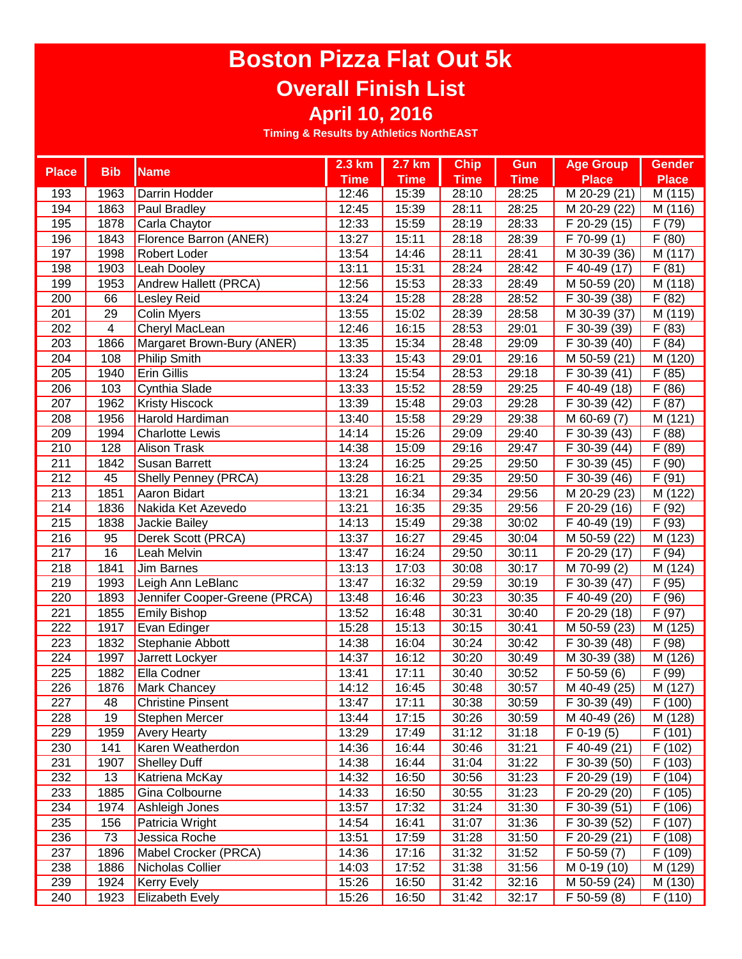# **Boston Pizza Flat Out 5k Overall Finish List**

**April 10, 2016**

| <b>Place</b>     | <b>Bib</b>              | <b>Name</b>                   | $2.3 \text{ km}$ | 2.7 km      | <b>Chip</b> | <b>Gun</b>  | <b>Age Group</b>          | <b>Gender</b>        |
|------------------|-------------------------|-------------------------------|------------------|-------------|-------------|-------------|---------------------------|----------------------|
|                  |                         |                               | <b>Time</b>      | <b>Time</b> | <b>Time</b> | <b>Time</b> | <b>Place</b>              | <b>Place</b>         |
| 193              | 1963                    | <b>Darrin Hodder</b>          | 12:46            | 15:39       | 28:10       | 28:25       | M 20-29 (21)              | M (115)              |
| 194              | 1863                    | <b>Paul Bradley</b>           | 12:45            | 15:39       | 28:11       | 28:25       | M 20-29 (22)              | M (116)              |
| 195              | 1878                    | Carla Chaytor                 | 12:33            | 15:59       | 28:19       | 28:33       | F 20-29 (15)              | F(79)                |
| 196              | 1843                    | Florence Barron (ANER)        | 13:27            | 15:11       | 28:18       | 28:39       | F 70-99 (1)               | F(80)                |
| 197              | 1998                    | <b>Robert Loder</b>           | 13:54            | 14:46       | 28:11       | 28:41       | M 30-39 (36)              | M (117)              |
| 198              | 1903                    | <b>Leah Dooley</b>            | 13:11            | 15:31       | 28:24       | 28:42       | F 40-49 (17)              | F(81)                |
| 199              | 1953                    | Andrew Hallett (PRCA)         | 12:56            | 15:53       | 28:33       | 28:49       | M 50-59 (20)              | M (118)              |
| 200              | 66                      | Lesley Reid                   | 13:24            | 15:28       | 28:28       | 28:52       | F 30-39 (38)              | F(82)                |
| 201              | 29                      | Colin Myers                   | 13:55            | 15:02       | 28:39       | 28:58       | M 30-39 (37)              | M (119)              |
| 202              | $\overline{\mathbf{4}}$ | Cheryl MacLean                | 12:46            | 16:15       | 28:53       | 29:01       | F 30-39 (39)              | F(83)                |
| 203              | 1866                    | Margaret Brown-Bury (ANER)    | 13:35            | 15:34       | 28:48       | 29:09       | F 30-39 (40)              | $\overline{F(84)}$   |
| 204              | 108                     | Philip Smith                  | 13:33            | 15:43       | 29:01       | 29:16       | M 50-59 (21)              | $\overline{M}$ (120) |
| 205              | 1940                    | <b>Erin Gillis</b>            | 13:24            | 15:54       | 28:53       | 29:18       | F 30-39 (41)              | F<br>(85)            |
| 206              | 103                     | Cynthia Slade                 | 13:33            | 15:52       | 28:59       | 29:25       | F 40-49 (18)              | F(86)                |
| 207              | 1962                    | <b>Kristy Hiscock</b>         | 13:39            | 15:48       | 29:03       | 29:28       | $\overline{F}$ 30-39 (42) | F(87)                |
| 208              | 1956                    | Harold Hardiman               | 13:40            | 15:58       | 29:29       | 29:38       | M 60-69 (7)               | M (121)              |
| 209              | 1994                    | <b>Charlotte Lewis</b>        | 14:14            | 15:26       | 29:09       | 29:40       | F 30-39 (43)              | F(88)                |
| 210              | 128                     | <b>Alison Trask</b>           | 14:38            | 15:09       | 29:16       | 29:47       | F 30-39 (44)              | F(89)                |
| 211              | 1842                    | <b>Susan Barrett</b>          | 13:24            | 16:25       | 29:25       | 29:50       | F 30-39 (45)              | F(90)                |
| 212              | 45                      | Shelly Penney (PRCA)          | 13:28            | 16:21       | 29:35       | 29:50       | F 30-39 (46)              | F(91)                |
| 213              | 1851                    | Aaron Bidart                  | 13:21            | 16:34       | 29:34       | 29:56       | M 20-29 (23)              | M (122)              |
| 214              | 1836                    | Nakida Ket Azevedo            | 13:21            | 16:35       | 29:35       | 29:56       | F 20-29 (16)              | F (92)               |
| 215              | 1838                    | Jackie Bailey                 | 14:13            | 15:49       | 29:38       | 30:02       | $\overline{F}$ 40-49 (19) | (93)<br>F            |
| 216              | 95                      | Derek Scott (PRCA)            | 13:37            | 16:27       | 29:45       | 30:04       | M 50-59 (22)              | M (123)              |
| $\overline{217}$ | 16                      | Leah Melvin                   | 13:47            | 16:24       | 29:50       | 30:11       | $\overline{F}$ 20-29 (17) | F(94)                |
| 218              | 1841                    | <b>Jim Barnes</b>             | 13:13            | 17:03       | 30:08       | 30:17       | M 70-99 (2)               | M (124)              |
| 219              | 1993                    | Leigh Ann LeBlanc             | 13:47            | 16:32       | 29:59       | 30:19       | F 30-39 (47)              | F (95)               |
| 220              | 1893                    | Jennifer Cooper-Greene (PRCA) | 13:48            | 16:46       | 30:23       | 30:35       | F 40-49 (20)              | F(96)                |
| 221              | 1855                    | Emily Bishop                  | 13:52            | 16:48       | 30:31       | 30:40       | $\overline{F}$ 20-29 (18) | F(97)                |
| 222              | 1917                    | Evan Edinger                  | 15:28            | 15:13       | 30:15       | 30:41       | M 50-59 (23)              | M (125)              |
| 223              | 1832                    | Stephanie Abbott              | 14:38            | 16:04       | 30:24       | 30:42       | F 30-39 (48)              | F(98)                |
| 224              | 1997                    | Jarrett Lockyer               | 14:37            | 16:12       | 30:20       | 30:49       | M 30-39 (38)              | $\overline{M}$ (126) |
| 225              | 1882                    | Ella Codner                   | 13:41            | 17:11       | 30:40       | 30:52       | $F$ 50-59 (6)             | F (99)               |
| 226              | 1876                    | <b>Mark Chancey</b>           | 14:12            | 16:45       | 30:48       | 30:57       | M 40-49 (25)              | M (127)              |
| 227              | 48                      | <b>Christine Pinsent</b>      | 13:47            | 17:11       | 30:38       | 30:59       | $F$ 30-39 (49)            | F(100)               |
| 228              | 19                      | Stephen Mercer                | 13:44            | 17:15       | 30:26       | 30:59       | M 40-49 (26)              | M (128)              |
| 229              | 1959                    | <b>Avery Hearty</b>           | 13:29            | 17:49       | 31:12       | 31:18       | $F$ 0-19 $(5)$            | F(101)               |
| 230              | 141                     | Karen Weatherdon              | 14:36            | 16:44       | 30:46       | 31:21       | F 40-49 (21)              | F(102)               |
| 231              | 1907                    | <b>Shelley Duff</b>           | 14:38            | 16:44       | 31:04       | 31:22       | F 30-39 (50)              | F(103)               |
| 232              | 13                      | Katriena McKay                | 14:32            | 16:50       | 30:56       | 31:23       | F 20-29 (19)              | F (104)              |
| 233              | 1885                    | Gina Colbourne                | 14:33            | 16:50       | 30:55       | 31:23       | F 20-29 (20)              | F(105)               |
| 234              | 1974                    | Ashleigh Jones                | 13:57            | 17:32       | 31:24       | 31:30       | $\overline{F}$ 30-39 (51) | F(106)               |
| 235              | 156                     | Patricia Wright               | 14:54            | 16:41       | 31:07       | 31:36       | F 30-39 (52)              | F(107)               |
| 236              | 73                      | Jessica Roche                 | 13:51            | 17:59       | 31:28       | 31:50       | F 20-29 (21)              | F(108)               |
| 237              | 1896                    | Mabel Crocker (PRCA)          | 14:36            | 17:16       | 31:32       | 31:52       | F 50-59 (7)               | F (109)              |
| 238              | 1886                    | Nicholas Collier              | 14:03            | 17:52       | 31:38       | 31:56       | M 0-19 (10)               | M (129)              |
| 239              | 1924                    | <b>Kerry Evely</b>            | 15:26            | 16:50       | 31:42       | 32:16       | M 50-59 (24)              | M (130)              |
| 240              | 1923                    | <b>Elizabeth Evely</b>        | 15:26            | 16:50       | 31:42       | 32:17       | $F$ 50-59 $(8)$           | F(110)               |